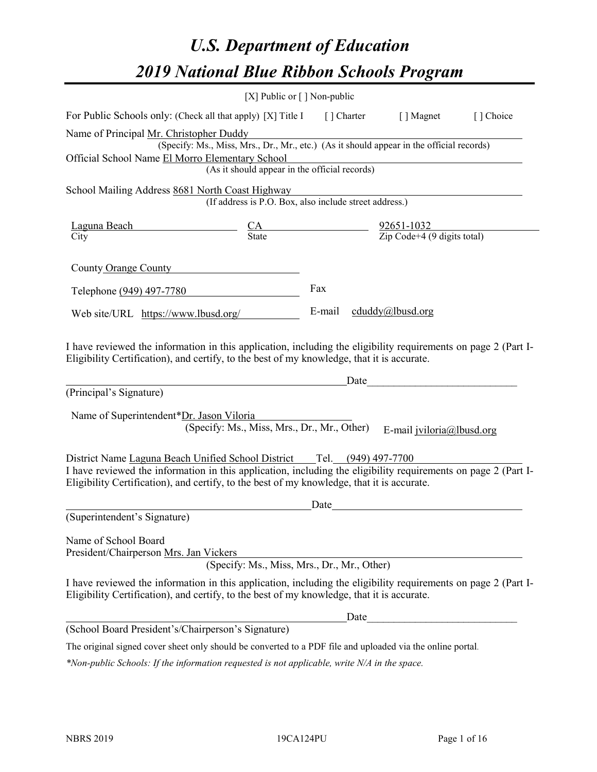# *U.S. Department of Education 2019 National Blue Ribbon Schools Program*

|                                                                                                                                                                                                                                                                                        | [X] Public or $\lceil$ ] Non-public                                                      |                         |                                                                                                                                                                                                                                                             |           |
|----------------------------------------------------------------------------------------------------------------------------------------------------------------------------------------------------------------------------------------------------------------------------------------|------------------------------------------------------------------------------------------|-------------------------|-------------------------------------------------------------------------------------------------------------------------------------------------------------------------------------------------------------------------------------------------------------|-----------|
| For Public Schools only: (Check all that apply) [X] Title I [] Charter [] Magnet                                                                                                                                                                                                       |                                                                                          |                         |                                                                                                                                                                                                                                                             | [] Choice |
| Name of Principal Mr. Christopher Duddy<br>Official School Name El Morro Elementary School                                                                                                                                                                                             | (Specify: Ms., Miss, Mrs., Dr., Mr., etc.) (As it should appear in the official records) |                         |                                                                                                                                                                                                                                                             |           |
|                                                                                                                                                                                                                                                                                        | (As it should appear in the official records)                                            |                         |                                                                                                                                                                                                                                                             |           |
| School Mailing Address 8681 North Coast Highway                                                                                                                                                                                                                                        | (If address is P.O. Box, also include street address.)                                   |                         |                                                                                                                                                                                                                                                             |           |
| $\frac{\text{Laguna Beach}}{\text{City}}$ $\frac{\text{CA}}{\text{State}}$ $\frac{92651-1032}{\text{Zip Code}+4 (9 digits total)}$                                                                                                                                                     |                                                                                          |                         |                                                                                                                                                                                                                                                             |           |
| County Orange County                                                                                                                                                                                                                                                                   |                                                                                          |                         |                                                                                                                                                                                                                                                             |           |
| Telephone (949) 497-7780                                                                                                                                                                                                                                                               |                                                                                          | Fax                     |                                                                                                                                                                                                                                                             |           |
| Web site/URL https://www.lbusd.org/                                                                                                                                                                                                                                                    |                                                                                          | E-mail cduddy@lbusd.org |                                                                                                                                                                                                                                                             |           |
| Eligibility Certification), and certify, to the best of my knowledge, that it is accurate.<br>(Principal's Signature)<br>Name of Superintendent*Dr. Jason Viloria                                                                                                                      | (Specify: Ms., Miss, Mrs., Dr., Mr., Other)                                              |                         | Date and the contract of the contract of the contract of the contract of the contract of the contract of the contract of the contract of the contract of the contract of the contract of the contract of the contract of the c<br>E-mail jviloria@lbusd.org |           |
| District Name Laguna Beach Unified School District Tel. (949) 497-7700<br>I have reviewed the information in this application, including the eligibility requirements on page 2 (Part I-<br>Eligibility Certification), and certify, to the best of my knowledge, that it is accurate. |                                                                                          |                         |                                                                                                                                                                                                                                                             |           |
| (Superintendent's Signature)                                                                                                                                                                                                                                                           |                                                                                          | Date                    |                                                                                                                                                                                                                                                             |           |
| Name of School Board<br>President/Chairperson Mrs. Jan Vickers                                                                                                                                                                                                                         | (Specify: Ms., Miss, Mrs., Dr., Mr., Other)                                              |                         |                                                                                                                                                                                                                                                             |           |
| I have reviewed the information in this application, including the eligibility requirements on page 2 (Part I-<br>Eligibility Certification), and certify, to the best of my knowledge, that it is accurate.                                                                           |                                                                                          |                         |                                                                                                                                                                                                                                                             |           |
|                                                                                                                                                                                                                                                                                        |                                                                                          | Date                    |                                                                                                                                                                                                                                                             |           |
| (School Board President's/Chairperson's Signature)                                                                                                                                                                                                                                     |                                                                                          |                         |                                                                                                                                                                                                                                                             |           |
| The original signed cover sheet only should be converted to a PDF file and uploaded via the online portal.                                                                                                                                                                             |                                                                                          |                         |                                                                                                                                                                                                                                                             |           |

*\*Non-public Schools: If the information requested is not applicable, write N/A in the space.*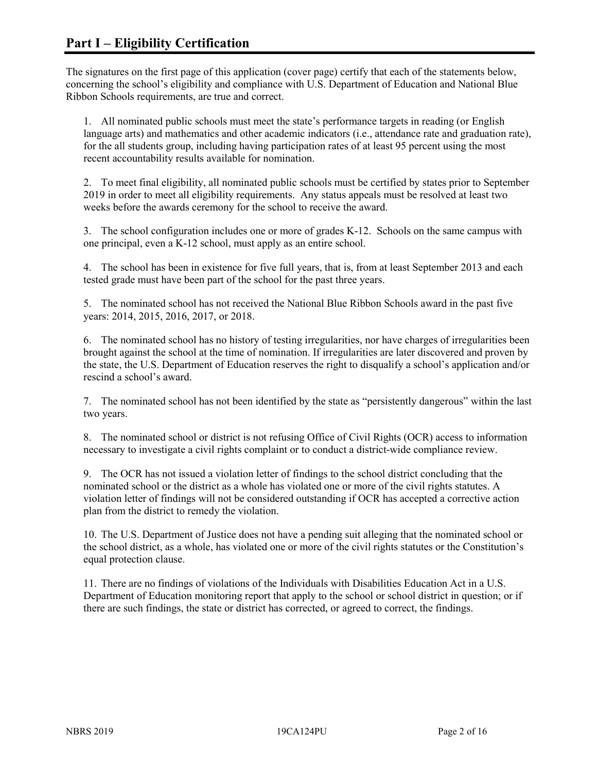The signatures on the first page of this application (cover page) certify that each of the statements below, concerning the school's eligibility and compliance with U.S. Department of Education and National Blue Ribbon Schools requirements, are true and correct.

1. All nominated public schools must meet the state's performance targets in reading (or English language arts) and mathematics and other academic indicators (i.e., attendance rate and graduation rate), for the all students group, including having participation rates of at least 95 percent using the most recent accountability results available for nomination.

2. To meet final eligibility, all nominated public schools must be certified by states prior to September 2019 in order to meet all eligibility requirements. Any status appeals must be resolved at least two weeks before the awards ceremony for the school to receive the award.

3. The school configuration includes one or more of grades K-12. Schools on the same campus with one principal, even a K-12 school, must apply as an entire school.

4. The school has been in existence for five full years, that is, from at least September 2013 and each tested grade must have been part of the school for the past three years.

5. The nominated school has not received the National Blue Ribbon Schools award in the past five years: 2014, 2015, 2016, 2017, or 2018.

6. The nominated school has no history of testing irregularities, nor have charges of irregularities been brought against the school at the time of nomination. If irregularities are later discovered and proven by the state, the U.S. Department of Education reserves the right to disqualify a school's application and/or rescind a school's award.

7. The nominated school has not been identified by the state as "persistently dangerous" within the last two years.

8. The nominated school or district is not refusing Office of Civil Rights (OCR) access to information necessary to investigate a civil rights complaint or to conduct a district-wide compliance review.

9. The OCR has not issued a violation letter of findings to the school district concluding that the nominated school or the district as a whole has violated one or more of the civil rights statutes. A violation letter of findings will not be considered outstanding if OCR has accepted a corrective action plan from the district to remedy the violation.

10. The U.S. Department of Justice does not have a pending suit alleging that the nominated school or the school district, as a whole, has violated one or more of the civil rights statutes or the Constitution's equal protection clause.

11. There are no findings of violations of the Individuals with Disabilities Education Act in a U.S. Department of Education monitoring report that apply to the school or school district in question; or if there are such findings, the state or district has corrected, or agreed to correct, the findings.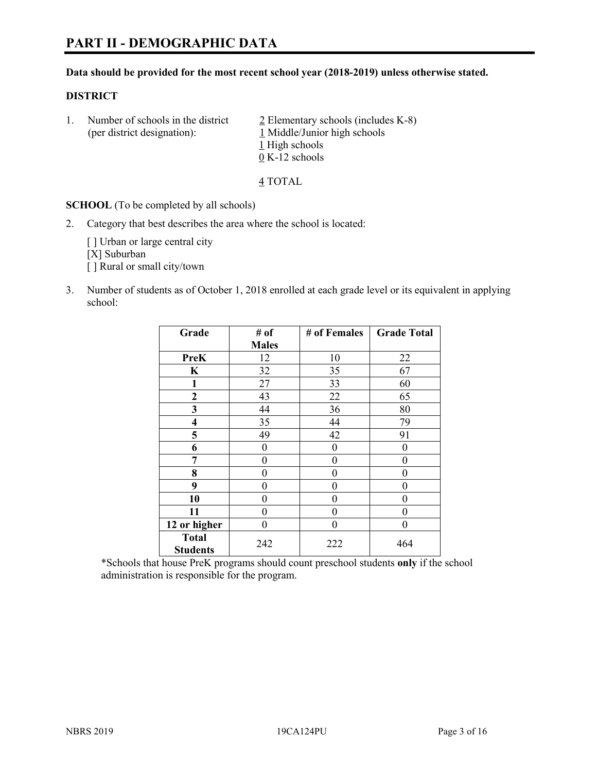# **Data should be provided for the most recent school year (2018-2019) unless otherwise stated.**

# **DISTRICT**

1. Number of schools in the district  $\frac{2}{2}$  Elementary schools (includes K-8) (per district designation): 1 Middle/Junior high schools 1 High schools 0 K-12 schools

4 TOTAL

**SCHOOL** (To be completed by all schools)

2. Category that best describes the area where the school is located:

[ ] Urban or large central city [X] Suburban [] Rural or small city/town

3. Number of students as of October 1, 2018 enrolled at each grade level or its equivalent in applying school:

| Grade                   | # of         | # of Females | <b>Grade Total</b> |
|-------------------------|--------------|--------------|--------------------|
|                         | <b>Males</b> |              |                    |
| PreK                    | 12           | 10           | 22                 |
| $\mathbf K$             | 32           | 35           | 67                 |
| 1                       | 27           | 33           | 60                 |
| $\mathbf{2}$            | 43           | 22           | 65                 |
| 3                       | 44           | 36           | 80                 |
| $\overline{\mathbf{4}}$ | 35           | 44           | 79                 |
| 5                       | 49           | 42           | 91                 |
| 6                       | $\theta$     | $\theta$     | 0                  |
| 7                       | 0            | $\theta$     | 0                  |
| 8                       | 0            | $\theta$     | 0                  |
| 9                       | 0            | $\theta$     | 0                  |
| 10                      | 0            | $\theta$     | 0                  |
| 11                      | 0            | $\theta$     | 0                  |
| 12 or higher            | 0            | $\theta$     | 0                  |
| <b>Total</b>            | 242          | 222          | 464                |
| <b>Students</b>         |              |              |                    |

\*Schools that house PreK programs should count preschool students **only** if the school administration is responsible for the program.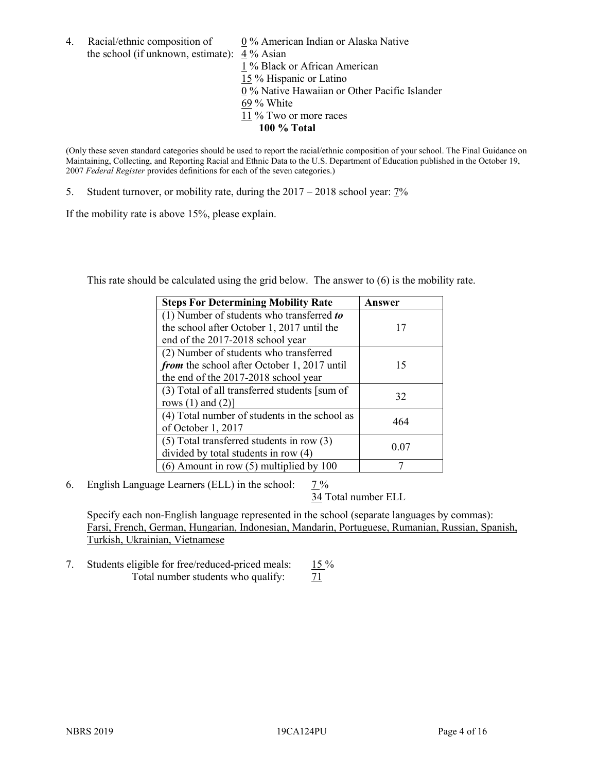4. Racial/ethnic composition of  $0\%$  American Indian or Alaska Native the school (if unknown, estimate): 4 % Asian 1 % Black or African American 15 % Hispanic or Latino 0 % Native Hawaiian or Other Pacific Islander 69 % White 11 % Two or more races **100 % Total**

(Only these seven standard categories should be used to report the racial/ethnic composition of your school. The Final Guidance on Maintaining, Collecting, and Reporting Racial and Ethnic Data to the U.S. Department of Education published in the October 19, 2007 *Federal Register* provides definitions for each of the seven categories.)

5. Student turnover, or mobility rate, during the 2017 – 2018 school year: 7%

If the mobility rate is above 15%, please explain.

This rate should be calculated using the grid below. The answer to (6) is the mobility rate.

| <b>Steps For Determining Mobility Rate</b>    | Answer |
|-----------------------------------------------|--------|
| (1) Number of students who transferred to     |        |
| the school after October 1, 2017 until the    | 17     |
| end of the 2017-2018 school year              |        |
| (2) Number of students who transferred        |        |
| from the school after October 1, 2017 until   | 15     |
| the end of the 2017-2018 school year          |        |
| (3) Total of all transferred students [sum of | 32     |
| rows $(1)$ and $(2)$ ]                        |        |
| (4) Total number of students in the school as | 464    |
| of October 1, 2017                            |        |
| $(5)$ Total transferred students in row $(3)$ |        |
| divided by total students in row (4)          | 0.07   |
| $(6)$ Amount in row $(5)$ multiplied by 100   |        |

6. English Language Learners (ELL) in the school:  $7\%$ 

34 Total number ELL

Specify each non-English language represented in the school (separate languages by commas): Farsi, French, German, Hungarian, Indonesian, Mandarin, Portuguese, Rumanian, Russian, Spanish, Turkish, Ukrainian, Vietnamese

7. Students eligible for free/reduced-priced meals: 15 % Total number students who qualify:  $71$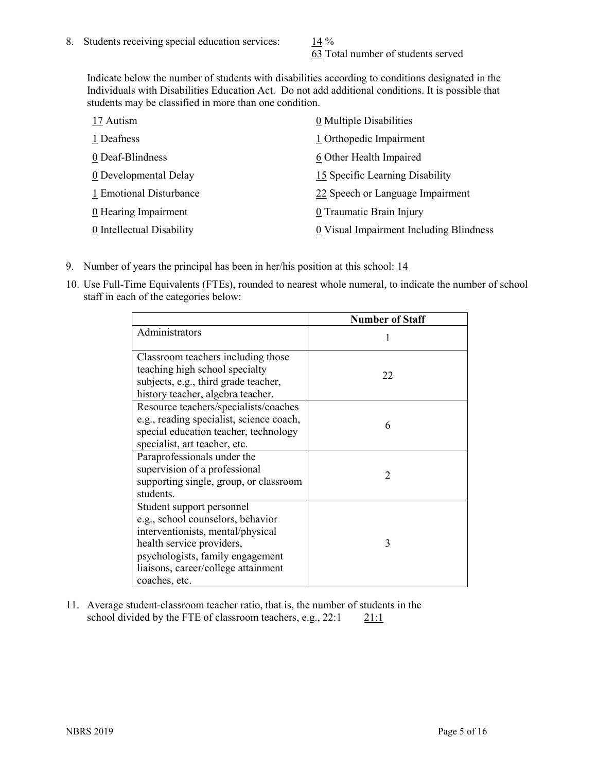63 Total number of students served

Indicate below the number of students with disabilities according to conditions designated in the Individuals with Disabilities Education Act. Do not add additional conditions. It is possible that students may be classified in more than one condition.

| 17 Autism                 | 0 Multiple Disabilities                 |
|---------------------------|-----------------------------------------|
| 1 Deafness                | 1 Orthopedic Impairment                 |
| 0 Deaf-Blindness          | 6 Other Health Impaired                 |
| 0 Developmental Delay     | 15 Specific Learning Disability         |
| 1 Emotional Disturbance   | 22 Speech or Language Impairment        |
| 0 Hearing Impairment      | 0 Traumatic Brain Injury                |
| 0 Intellectual Disability | 0 Visual Impairment Including Blindness |

- 9. Number of years the principal has been in her/his position at this school: 14
- 10. Use Full-Time Equivalents (FTEs), rounded to nearest whole numeral, to indicate the number of school staff in each of the categories below:

|                                                                                                                                                                                                                              | <b>Number of Staff</b>   |
|------------------------------------------------------------------------------------------------------------------------------------------------------------------------------------------------------------------------------|--------------------------|
| Administrators                                                                                                                                                                                                               |                          |
| Classroom teachers including those<br>teaching high school specialty<br>subjects, e.g., third grade teacher,<br>history teacher, algebra teacher.                                                                            | 22                       |
| Resource teachers/specialists/coaches<br>e.g., reading specialist, science coach,<br>special education teacher, technology<br>specialist, art teacher, etc.                                                                  | 6                        |
| Paraprofessionals under the<br>supervision of a professional<br>supporting single, group, or classroom<br>students.                                                                                                          | $\mathfrak{D}_{1}^{(1)}$ |
| Student support personnel<br>e.g., school counselors, behavior<br>interventionists, mental/physical<br>health service providers,<br>psychologists, family engagement<br>liaisons, career/college attainment<br>coaches, etc. | 3                        |

11. Average student-classroom teacher ratio, that is, the number of students in the school divided by the FTE of classroom teachers, e.g.,  $22:1$  21:1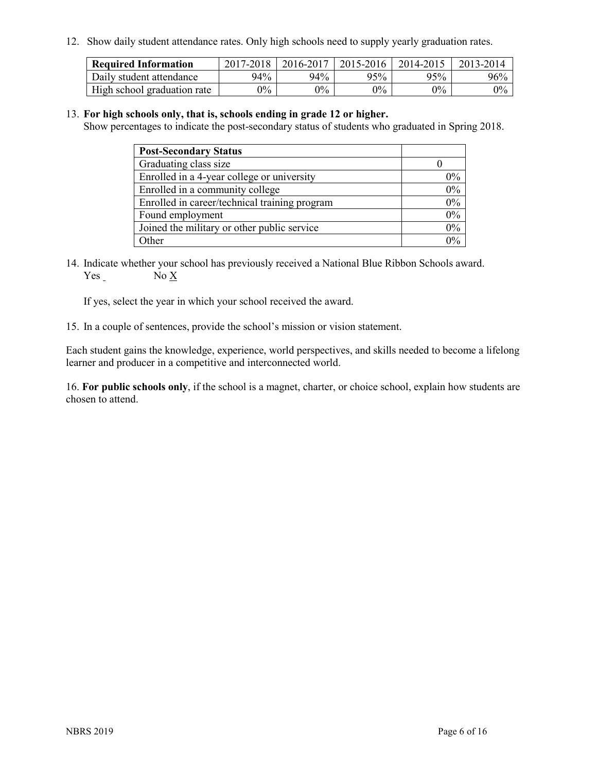12. Show daily student attendance rates. Only high schools need to supply yearly graduation rates.

| <b>Required Information</b> | 2017-2018 | 2016-2017 | 2015-2016 | 2014-2015 | 2013-2014 |
|-----------------------------|-----------|-----------|-----------|-----------|-----------|
| Daily student attendance    | 94%       | 94%       | 95%       | 95%       | 96%       |
| High school graduation rate | $0\%$     | $0\%$     | $0\%$     | $9\%$     | $0\%$     |

#### 13. **For high schools only, that is, schools ending in grade 12 or higher.**

Show percentages to indicate the post-secondary status of students who graduated in Spring 2018.

| <b>Post-Secondary Status</b>                  |       |
|-----------------------------------------------|-------|
| Graduating class size                         |       |
| Enrolled in a 4-year college or university    | $0\%$ |
| Enrolled in a community college               | 0%    |
| Enrolled in career/technical training program | 0%    |
| Found employment                              | 0%    |
| Joined the military or other public service   | 0%    |
| Other                                         | በ%    |

14. Indicate whether your school has previously received a National Blue Ribbon Schools award. Yes No X

If yes, select the year in which your school received the award.

15. In a couple of sentences, provide the school's mission or vision statement.

Each student gains the knowledge, experience, world perspectives, and skills needed to become a lifelong learner and producer in a competitive and interconnected world.

16. **For public schools only**, if the school is a magnet, charter, or choice school, explain how students are chosen to attend.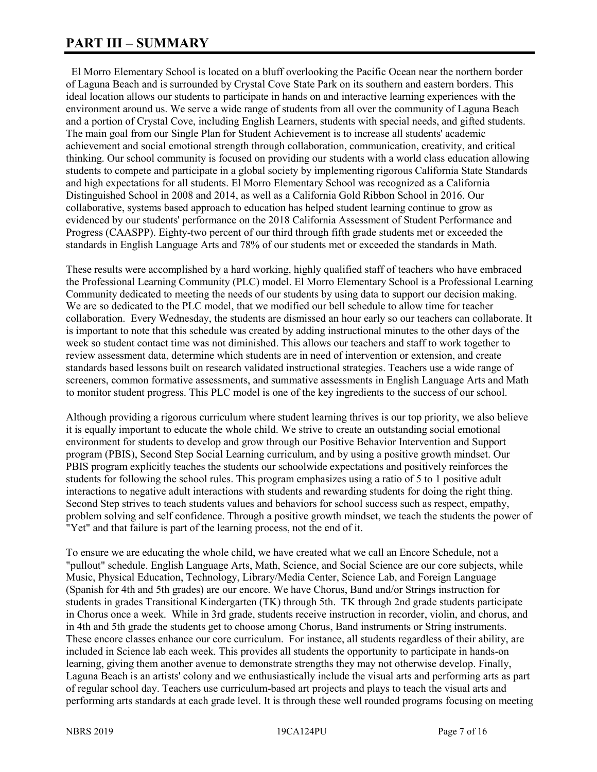# **PART III – SUMMARY**

 El Morro Elementary School is located on a bluff overlooking the Pacific Ocean near the northern border of Laguna Beach and is surrounded by Crystal Cove State Park on its southern and eastern borders. This ideal location allows our students to participate in hands on and interactive learning experiences with the environment around us. We serve a wide range of students from all over the community of Laguna Beach and a portion of Crystal Cove, including English Learners, students with special needs, and gifted students. The main goal from our Single Plan for Student Achievement is to increase all students' academic achievement and social emotional strength through collaboration, communication, creativity, and critical thinking. Our school community is focused on providing our students with a world class education allowing students to compete and participate in a global society by implementing rigorous California State Standards and high expectations for all students. El Morro Elementary School was recognized as a California Distinguished School in 2008 and 2014, as well as a California Gold Ribbon School in 2016. Our collaborative, systems based approach to education has helped student learning continue to grow as evidenced by our students' performance on the 2018 California Assessment of Student Performance and Progress (CAASPP). Eighty-two percent of our third through fifth grade students met or exceeded the standards in English Language Arts and 78% of our students met or exceeded the standards in Math.

These results were accomplished by a hard working, highly qualified staff of teachers who have embraced the Professional Learning Community (PLC) model. El Morro Elementary School is a Professional Learning Community dedicated to meeting the needs of our students by using data to support our decision making. We are so dedicated to the PLC model, that we modified our bell schedule to allow time for teacher collaboration. Every Wednesday, the students are dismissed an hour early so our teachers can collaborate. It is important to note that this schedule was created by adding instructional minutes to the other days of the week so student contact time was not diminished. This allows our teachers and staff to work together to review assessment data, determine which students are in need of intervention or extension, and create standards based lessons built on research validated instructional strategies. Teachers use a wide range of screeners, common formative assessments, and summative assessments in English Language Arts and Math to monitor student progress. This PLC model is one of the key ingredients to the success of our school.

Although providing a rigorous curriculum where student learning thrives is our top priority, we also believe it is equally important to educate the whole child. We strive to create an outstanding social emotional environment for students to develop and grow through our Positive Behavior Intervention and Support program (PBIS), Second Step Social Learning curriculum, and by using a positive growth mindset. Our PBIS program explicitly teaches the students our schoolwide expectations and positively reinforces the students for following the school rules. This program emphasizes using a ratio of 5 to 1 positive adult interactions to negative adult interactions with students and rewarding students for doing the right thing. Second Step strives to teach students values and behaviors for school success such as respect, empathy, problem solving and self confidence. Through a positive growth mindset, we teach the students the power of "Yet" and that failure is part of the learning process, not the end of it.

To ensure we are educating the whole child, we have created what we call an Encore Schedule, not a "pullout" schedule. English Language Arts, Math, Science, and Social Science are our core subjects, while Music, Physical Education, Technology, Library/Media Center, Science Lab, and Foreign Language (Spanish for 4th and 5th grades) are our encore. We have Chorus, Band and/or Strings instruction for students in grades Transitional Kindergarten (TK) through 5th. TK through 2nd grade students participate in Chorus once a week. While in 3rd grade, students receive instruction in recorder, violin, and chorus, and in 4th and 5th grade the students get to choose among Chorus, Band instruments or String instruments. These encore classes enhance our core curriculum. For instance, all students regardless of their ability, are included in Science lab each week. This provides all students the opportunity to participate in hands-on learning, giving them another avenue to demonstrate strengths they may not otherwise develop. Finally, Laguna Beach is an artists' colony and we enthusiastically include the visual arts and performing arts as part of regular school day. Teachers use curriculum-based art projects and plays to teach the visual arts and performing arts standards at each grade level. It is through these well rounded programs focusing on meeting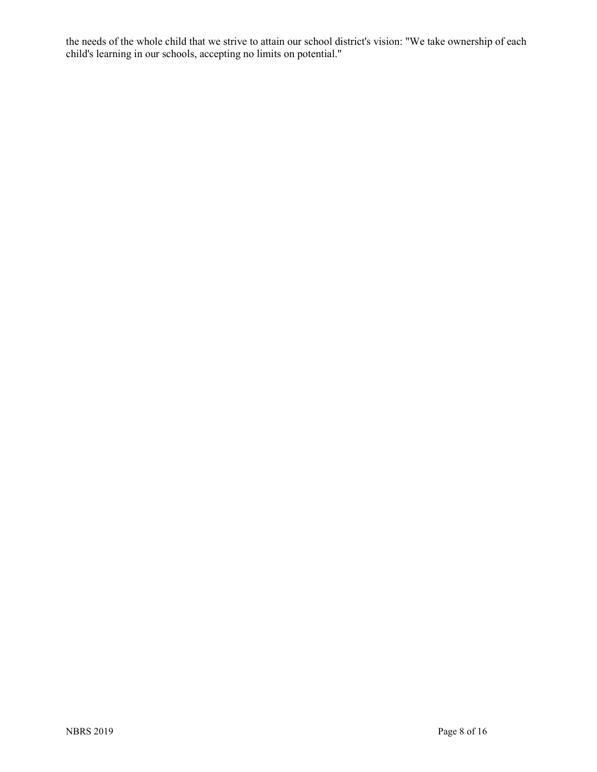the needs of the whole child that we strive to attain our school district's vision: "We take ownership of each child's learning in our schools, accepting no limits on potential."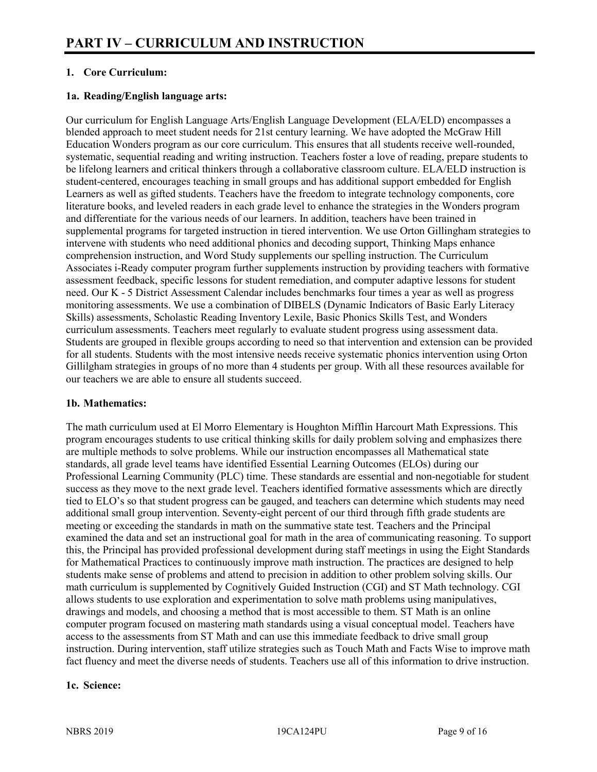# **1. Core Curriculum:**

# **1a. Reading/English language arts:**

Our curriculum for English Language Arts/English Language Development (ELA/ELD) encompasses a blended approach to meet student needs for 21st century learning. We have adopted the McGraw Hill Education Wonders program as our core curriculum. This ensures that all students receive well-rounded, systematic, sequential reading and writing instruction. Teachers foster a love of reading, prepare students to be lifelong learners and critical thinkers through a collaborative classroom culture. ELA/ELD instruction is student-centered, encourages teaching in small groups and has additional support embedded for English Learners as well as gifted students. Teachers have the freedom to integrate technology components, core literature books, and leveled readers in each grade level to enhance the strategies in the Wonders program and differentiate for the various needs of our learners. In addition, teachers have been trained in supplemental programs for targeted instruction in tiered intervention. We use Orton Gillingham strategies to intervene with students who need additional phonics and decoding support, Thinking Maps enhance comprehension instruction, and Word Study supplements our spelling instruction. The Curriculum Associates i-Ready computer program further supplements instruction by providing teachers with formative assessment feedback, specific lessons for student remediation, and computer adaptive lessons for student need. Our K - 5 District Assessment Calendar includes benchmarks four times a year as well as progress monitoring assessments. We use a combination of DIBELS (Dynamic Indicators of Basic Early Literacy Skills) assessments, Scholastic Reading Inventory Lexile, Basic Phonics Skills Test, and Wonders curriculum assessments. Teachers meet regularly to evaluate student progress using assessment data. Students are grouped in flexible groups according to need so that intervention and extension can be provided for all students. Students with the most intensive needs receive systematic phonics intervention using Orton Gillilgham strategies in groups of no more than 4 students per group. With all these resources available for our teachers we are able to ensure all students succeed.

# **1b. Mathematics:**

The math curriculum used at El Morro Elementary is Houghton Mifflin Harcourt Math Expressions. This program encourages students to use critical thinking skills for daily problem solving and emphasizes there are multiple methods to solve problems. While our instruction encompasses all Mathematical state standards, all grade level teams have identified Essential Learning Outcomes (ELOs) during our Professional Learning Community (PLC) time. These standards are essential and non-negotiable for student success as they move to the next grade level. Teachers identified formative assessments which are directly tied to ELO's so that student progress can be gauged, and teachers can determine which students may need additional small group intervention. Seventy-eight percent of our third through fifth grade students are meeting or exceeding the standards in math on the summative state test. Teachers and the Principal examined the data and set an instructional goal for math in the area of communicating reasoning. To support this, the Principal has provided professional development during staff meetings in using the Eight Standards for Mathematical Practices to continuously improve math instruction. The practices are designed to help students make sense of problems and attend to precision in addition to other problem solving skills. Our math curriculum is supplemented by Cognitively Guided Instruction (CGI) and ST Math technology. CGI allows students to use exploration and experimentation to solve math problems using manipulatives, drawings and models, and choosing a method that is most accessible to them. ST Math is an online computer program focused on mastering math standards using a visual conceptual model. Teachers have access to the assessments from ST Math and can use this immediate feedback to drive small group instruction. During intervention, staff utilize strategies such as Touch Math and Facts Wise to improve math fact fluency and meet the diverse needs of students. Teachers use all of this information to drive instruction.

# **1c. Science:**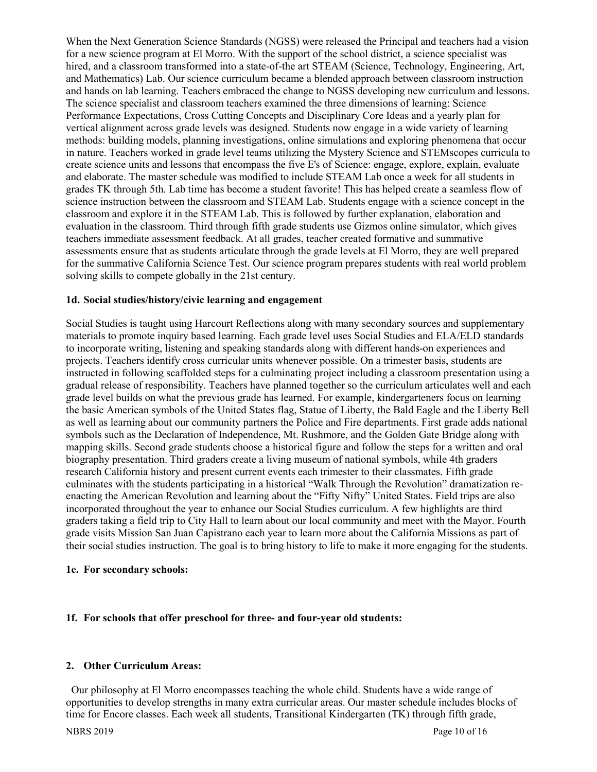When the Next Generation Science Standards (NGSS) were released the Principal and teachers had a vision for a new science program at El Morro. With the support of the school district, a science specialist was hired, and a classroom transformed into a state-of-the art STEAM (Science, Technology, Engineering, Art, and Mathematics) Lab. Our science curriculum became a blended approach between classroom instruction and hands on lab learning. Teachers embraced the change to NGSS developing new curriculum and lessons. The science specialist and classroom teachers examined the three dimensions of learning: Science Performance Expectations, Cross Cutting Concepts and Disciplinary Core Ideas and a yearly plan for vertical alignment across grade levels was designed. Students now engage in a wide variety of learning methods: building models, planning investigations, online simulations and exploring phenomena that occur in nature. Teachers worked in grade level teams utilizing the Mystery Science and STEMscopes curricula to create science units and lessons that encompass the five E's of Science: engage, explore, explain, evaluate and elaborate. The master schedule was modified to include STEAM Lab once a week for all students in grades TK through 5th. Lab time has become a student favorite! This has helped create a seamless flow of science instruction between the classroom and STEAM Lab. Students engage with a science concept in the classroom and explore it in the STEAM Lab. This is followed by further explanation, elaboration and evaluation in the classroom. Third through fifth grade students use Gizmos online simulator, which gives teachers immediate assessment feedback. At all grades, teacher created formative and summative assessments ensure that as students articulate through the grade levels at El Morro, they are well prepared for the summative California Science Test. Our science program prepares students with real world problem solving skills to compete globally in the 21st century.

# **1d. Social studies/history/civic learning and engagement**

Social Studies is taught using Harcourt Reflections along with many secondary sources and supplementary materials to promote inquiry based learning. Each grade level uses Social Studies and ELA/ELD standards to incorporate writing, listening and speaking standards along with different hands-on experiences and projects. Teachers identify cross curricular units whenever possible. On a trimester basis, students are instructed in following scaffolded steps for a culminating project including a classroom presentation using a gradual release of responsibility. Teachers have planned together so the curriculum articulates well and each grade level builds on what the previous grade has learned. For example, kindergarteners focus on learning the basic American symbols of the United States flag, Statue of Liberty, the Bald Eagle and the Liberty Bell as well as learning about our community partners the Police and Fire departments. First grade adds national symbols such as the Declaration of Independence, Mt. Rushmore, and the Golden Gate Bridge along with mapping skills. Second grade students choose a historical figure and follow the steps for a written and oral biography presentation. Third graders create a living museum of national symbols, while 4th graders research California history and present current events each trimester to their classmates. Fifth grade culminates with the students participating in a historical "Walk Through the Revolution" dramatization reenacting the American Revolution and learning about the "Fifty Nifty" United States. Field trips are also incorporated throughout the year to enhance our Social Studies curriculum. A few highlights are third graders taking a field trip to City Hall to learn about our local community and meet with the Mayor. Fourth grade visits Mission San Juan Capistrano each year to learn more about the California Missions as part of their social studies instruction. The goal is to bring history to life to make it more engaging for the students.

#### **1e. For secondary schools:**

#### **1f. For schools that offer preschool for three- and four-year old students:**

#### **2. Other Curriculum Areas:**

 Our philosophy at El Morro encompasses teaching the whole child. Students have a wide range of opportunities to develop strengths in many extra curricular areas. Our master schedule includes blocks of time for Encore classes. Each week all students, Transitional Kindergarten (TK) through fifth grade,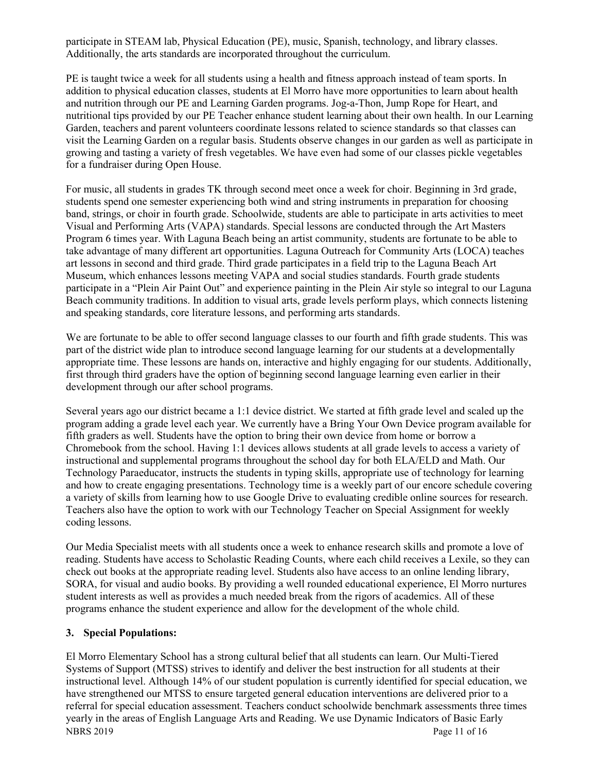participate in STEAM lab, Physical Education (PE), music, Spanish, technology, and library classes. Additionally, the arts standards are incorporated throughout the curriculum.

PE is taught twice a week for all students using a health and fitness approach instead of team sports. In addition to physical education classes, students at El Morro have more opportunities to learn about health and nutrition through our PE and Learning Garden programs. Jog-a-Thon, Jump Rope for Heart, and nutritional tips provided by our PE Teacher enhance student learning about their own health. In our Learning Garden, teachers and parent volunteers coordinate lessons related to science standards so that classes can visit the Learning Garden on a regular basis. Students observe changes in our garden as well as participate in growing and tasting a variety of fresh vegetables. We have even had some of our classes pickle vegetables for a fundraiser during Open House.

For music, all students in grades TK through second meet once a week for choir. Beginning in 3rd grade, students spend one semester experiencing both wind and string instruments in preparation for choosing band, strings, or choir in fourth grade. Schoolwide, students are able to participate in arts activities to meet Visual and Performing Arts (VAPA) standards. Special lessons are conducted through the Art Masters Program 6 times year. With Laguna Beach being an artist community, students are fortunate to be able to take advantage of many different art opportunities. Laguna Outreach for Community Arts (LOCA) teaches art lessons in second and third grade. Third grade participates in a field trip to the Laguna Beach Art Museum, which enhances lessons meeting VAPA and social studies standards. Fourth grade students participate in a "Plein Air Paint Out" and experience painting in the Plein Air style so integral to our Laguna Beach community traditions. In addition to visual arts, grade levels perform plays, which connects listening and speaking standards, core literature lessons, and performing arts standards.

We are fortunate to be able to offer second language classes to our fourth and fifth grade students. This was part of the district wide plan to introduce second language learning for our students at a developmentally appropriate time. These lessons are hands on, interactive and highly engaging for our students. Additionally, first through third graders have the option of beginning second language learning even earlier in their development through our after school programs.

Several years ago our district became a 1:1 device district. We started at fifth grade level and scaled up the program adding a grade level each year. We currently have a Bring Your Own Device program available for fifth graders as well. Students have the option to bring their own device from home or borrow a Chromebook from the school. Having 1:1 devices allows students at all grade levels to access a variety of instructional and supplemental programs throughout the school day for both ELA/ELD and Math. Our Technology Paraeducator, instructs the students in typing skills, appropriate use of technology for learning and how to create engaging presentations. Technology time is a weekly part of our encore schedule covering a variety of skills from learning how to use Google Drive to evaluating credible online sources for research. Teachers also have the option to work with our Technology Teacher on Special Assignment for weekly coding lessons.

Our Media Specialist meets with all students once a week to enhance research skills and promote a love of reading. Students have access to Scholastic Reading Counts, where each child receives a Lexile, so they can check out books at the appropriate reading level. Students also have access to an online lending library, SORA, for visual and audio books. By providing a well rounded educational experience, El Morro nurtures student interests as well as provides a much needed break from the rigors of academics. All of these programs enhance the student experience and allow for the development of the whole child.

# **3. Special Populations:**

NBRS 2019 Page 11 of 16 El Morro Elementary School has a strong cultural belief that all students can learn. Our Multi-Tiered Systems of Support (MTSS) strives to identify and deliver the best instruction for all students at their instructional level. Although 14% of our student population is currently identified for special education, we have strengthened our MTSS to ensure targeted general education interventions are delivered prior to a referral for special education assessment. Teachers conduct schoolwide benchmark assessments three times yearly in the areas of English Language Arts and Reading. We use Dynamic Indicators of Basic Early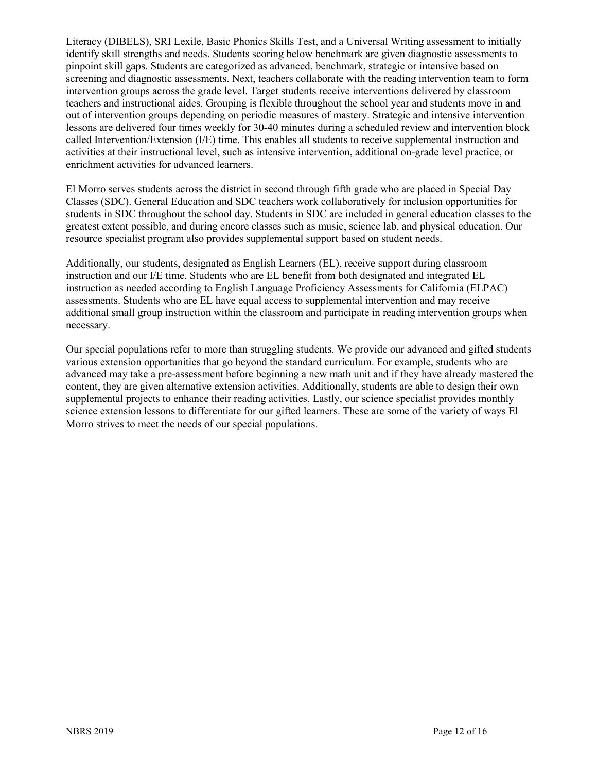Literacy (DIBELS), SRI Lexile, Basic Phonics Skills Test, and a Universal Writing assessment to initially identify skill strengths and needs. Students scoring below benchmark are given diagnostic assessments to pinpoint skill gaps. Students are categorized as advanced, benchmark, strategic or intensive based on screening and diagnostic assessments. Next, teachers collaborate with the reading intervention team to form intervention groups across the grade level. Target students receive interventions delivered by classroom teachers and instructional aides. Grouping is flexible throughout the school year and students move in and out of intervention groups depending on periodic measures of mastery. Strategic and intensive intervention lessons are delivered four times weekly for 30-40 minutes during a scheduled review and intervention block called Intervention/Extension (I/E) time. This enables all students to receive supplemental instruction and activities at their instructional level, such as intensive intervention, additional on-grade level practice, or enrichment activities for advanced learners.

El Morro serves students across the district in second through fifth grade who are placed in Special Day Classes (SDC). General Education and SDC teachers work collaboratively for inclusion opportunities for students in SDC throughout the school day. Students in SDC are included in general education classes to the greatest extent possible, and during encore classes such as music, science lab, and physical education. Our resource specialist program also provides supplemental support based on student needs.

Additionally, our students, designated as English Learners (EL), receive support during classroom instruction and our I/E time. Students who are EL benefit from both designated and integrated EL instruction as needed according to English Language Proficiency Assessments for California (ELPAC) assessments. Students who are EL have equal access to supplemental intervention and may receive additional small group instruction within the classroom and participate in reading intervention groups when necessary.

Our special populations refer to more than struggling students. We provide our advanced and gifted students various extension opportunities that go beyond the standard curriculum. For example, students who are advanced may take a pre-assessment before beginning a new math unit and if they have already mastered the content, they are given alternative extension activities. Additionally, students are able to design their own supplemental projects to enhance their reading activities. Lastly, our science specialist provides monthly science extension lessons to differentiate for our gifted learners. These are some of the variety of ways El Morro strives to meet the needs of our special populations.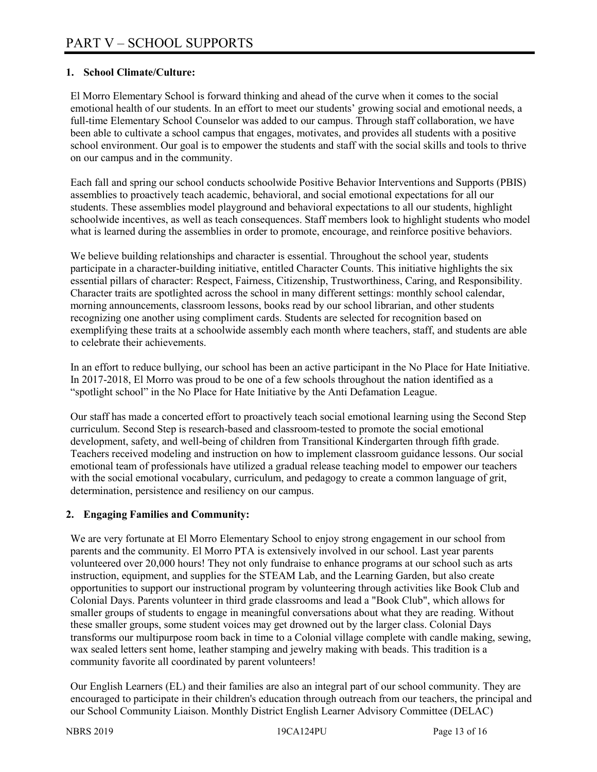# **1. School Climate/Culture:**

El Morro Elementary School is forward thinking and ahead of the curve when it comes to the social emotional health of our students. In an effort to meet our students' growing social and emotional needs, a full-time Elementary School Counselor was added to our campus. Through staff collaboration, we have been able to cultivate a school campus that engages, motivates, and provides all students with a positive school environment. Our goal is to empower the students and staff with the social skills and tools to thrive on our campus and in the community.

Each fall and spring our school conducts schoolwide Positive Behavior Interventions and Supports (PBIS) assemblies to proactively teach academic, behavioral, and social emotional expectations for all our students. These assemblies model playground and behavioral expectations to all our students, highlight schoolwide incentives, as well as teach consequences. Staff members look to highlight students who model what is learned during the assemblies in order to promote, encourage, and reinforce positive behaviors.

We believe building relationships and character is essential. Throughout the school year, students participate in a character-building initiative, entitled Character Counts. This initiative highlights the six essential pillars of character: Respect, Fairness, Citizenship, Trustworthiness, Caring, and Responsibility. Character traits are spotlighted across the school in many different settings: monthly school calendar, morning announcements, classroom lessons, books read by our school librarian, and other students recognizing one another using compliment cards. Students are selected for recognition based on exemplifying these traits at a schoolwide assembly each month where teachers, staff, and students are able to celebrate their achievements.

In an effort to reduce bullying, our school has been an active participant in the No Place for Hate Initiative. In 2017-2018, El Morro was proud to be one of a few schools throughout the nation identified as a "spotlight school" in the No Place for Hate Initiative by the Anti Defamation League.

Our staff has made a concerted effort to proactively teach social emotional learning using the Second Step curriculum. Second Step is research-based and classroom-tested to promote the social emotional development, safety, and well-being of children from Transitional Kindergarten through fifth grade. Teachers received modeling and instruction on how to implement classroom guidance lessons. Our social emotional team of professionals have utilized a gradual release teaching model to empower our teachers with the social emotional vocabulary, curriculum, and pedagogy to create a common language of grit, determination, persistence and resiliency on our campus.

# **2. Engaging Families and Community:**

We are very fortunate at El Morro Elementary School to enjoy strong engagement in our school from parents and the community. El Morro PTA is extensively involved in our school. Last year parents volunteered over 20,000 hours! They not only fundraise to enhance programs at our school such as arts instruction, equipment, and supplies for the STEAM Lab, and the Learning Garden, but also create opportunities to support our instructional program by volunteering through activities like Book Club and Colonial Days. Parents volunteer in third grade classrooms and lead a "Book Club", which allows for smaller groups of students to engage in meaningful conversations about what they are reading. Without these smaller groups, some student voices may get drowned out by the larger class. Colonial Days transforms our multipurpose room back in time to a Colonial village complete with candle making, sewing, wax sealed letters sent home, leather stamping and jewelry making with beads. This tradition is a community favorite all coordinated by parent volunteers!

Our English Learners (EL) and their families are also an integral part of our school community. They are encouraged to participate in their children's education through outreach from our teachers, the principal and our School Community Liaison. Monthly District English Learner Advisory Committee (DELAC)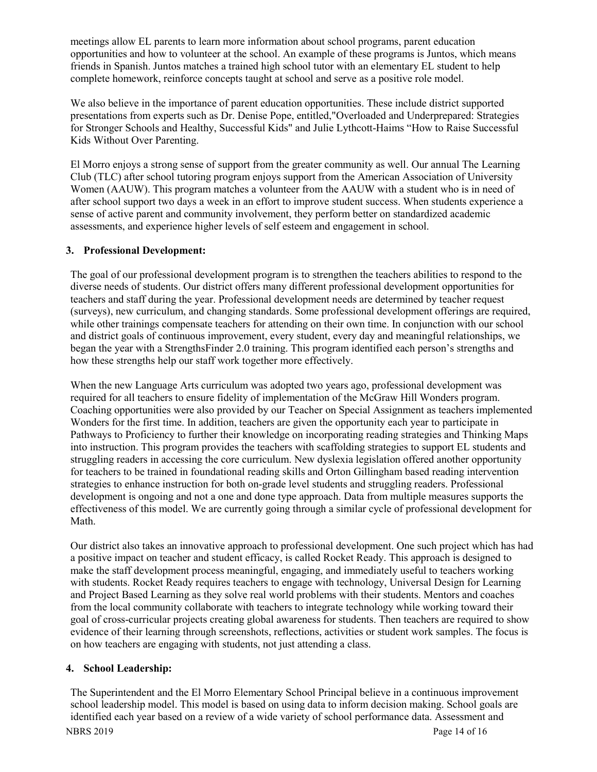meetings allow EL parents to learn more information about school programs, parent education opportunities and how to volunteer at the school. An example of these programs is Juntos, which means friends in Spanish. Juntos matches a trained high school tutor with an elementary EL student to help complete homework, reinforce concepts taught at school and serve as a positive role model.

We also believe in the importance of parent education opportunities. These include district supported presentations from experts such as Dr. Denise Pope, entitled,"Overloaded and Underprepared: Strategies for Stronger Schools and Healthy, Successful Kids" and Julie Lythcott-Haims "How to Raise Successful Kids Without Over Parenting.

El Morro enjoys a strong sense of support from the greater community as well. Our annual The Learning Club (TLC) after school tutoring program enjoys support from the American Association of University Women (AAUW). This program matches a volunteer from the AAUW with a student who is in need of after school support two days a week in an effort to improve student success. When students experience a sense of active parent and community involvement, they perform better on standardized academic assessments, and experience higher levels of self esteem and engagement in school.

# **3. Professional Development:**

The goal of our professional development program is to strengthen the teachers abilities to respond to the diverse needs of students. Our district offers many different professional development opportunities for teachers and staff during the year. Professional development needs are determined by teacher request (surveys), new curriculum, and changing standards. Some professional development offerings are required, while other trainings compensate teachers for attending on their own time. In conjunction with our school and district goals of continuous improvement, every student, every day and meaningful relationships, we began the year with a StrengthsFinder 2.0 training. This program identified each person's strengths and how these strengths help our staff work together more effectively.

When the new Language Arts curriculum was adopted two years ago, professional development was required for all teachers to ensure fidelity of implementation of the McGraw Hill Wonders program. Coaching opportunities were also provided by our Teacher on Special Assignment as teachers implemented Wonders for the first time. In addition, teachers are given the opportunity each year to participate in Pathways to Proficiency to further their knowledge on incorporating reading strategies and Thinking Maps into instruction. This program provides the teachers with scaffolding strategies to support EL students and struggling readers in accessing the core curriculum. New dyslexia legislation offered another opportunity for teachers to be trained in foundational reading skills and Orton Gillingham based reading intervention strategies to enhance instruction for both on-grade level students and struggling readers. Professional development is ongoing and not a one and done type approach. Data from multiple measures supports the effectiveness of this model. We are currently going through a similar cycle of professional development for Math.

Our district also takes an innovative approach to professional development. One such project which has had a positive impact on teacher and student efficacy, is called Rocket Ready. This approach is designed to make the staff development process meaningful, engaging, and immediately useful to teachers working with students. Rocket Ready requires teachers to engage with technology, Universal Design for Learning and Project Based Learning as they solve real world problems with their students. Mentors and coaches from the local community collaborate with teachers to integrate technology while working toward their goal of cross-curricular projects creating global awareness for students. Then teachers are required to show evidence of their learning through screenshots, reflections, activities or student work samples. The focus is on how teachers are engaging with students, not just attending a class.

# **4. School Leadership:**

NBRS 2019 Page 14 of 16 The Superintendent and the El Morro Elementary School Principal believe in a continuous improvement school leadership model. This model is based on using data to inform decision making. School goals are identified each year based on a review of a wide variety of school performance data. Assessment and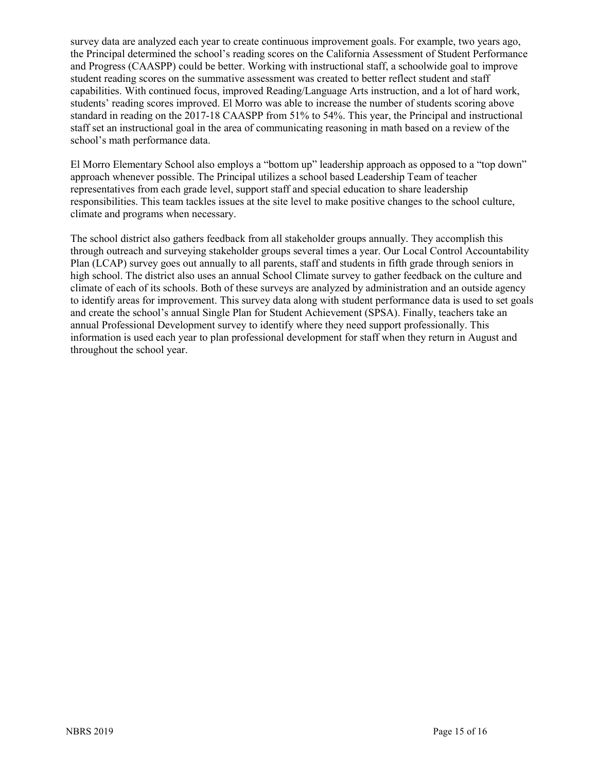survey data are analyzed each year to create continuous improvement goals. For example, two years ago, the Principal determined the school's reading scores on the California Assessment of Student Performance and Progress (CAASPP) could be better. Working with instructional staff, a schoolwide goal to improve student reading scores on the summative assessment was created to better reflect student and staff capabilities. With continued focus, improved Reading/Language Arts instruction, and a lot of hard work, students' reading scores improved. El Morro was able to increase the number of students scoring above standard in reading on the 2017-18 CAASPP from 51% to 54%. This year, the Principal and instructional staff set an instructional goal in the area of communicating reasoning in math based on a review of the school's math performance data.

El Morro Elementary School also employs a "bottom up" leadership approach as opposed to a "top down" approach whenever possible. The Principal utilizes a school based Leadership Team of teacher representatives from each grade level, support staff and special education to share leadership responsibilities. This team tackles issues at the site level to make positive changes to the school culture, climate and programs when necessary.

The school district also gathers feedback from all stakeholder groups annually. They accomplish this through outreach and surveying stakeholder groups several times a year. Our Local Control Accountability Plan (LCAP) survey goes out annually to all parents, staff and students in fifth grade through seniors in high school. The district also uses an annual School Climate survey to gather feedback on the culture and climate of each of its schools. Both of these surveys are analyzed by administration and an outside agency to identify areas for improvement. This survey data along with student performance data is used to set goals and create the school's annual Single Plan for Student Achievement (SPSA). Finally, teachers take an annual Professional Development survey to identify where they need support professionally. This information is used each year to plan professional development for staff when they return in August and throughout the school year.